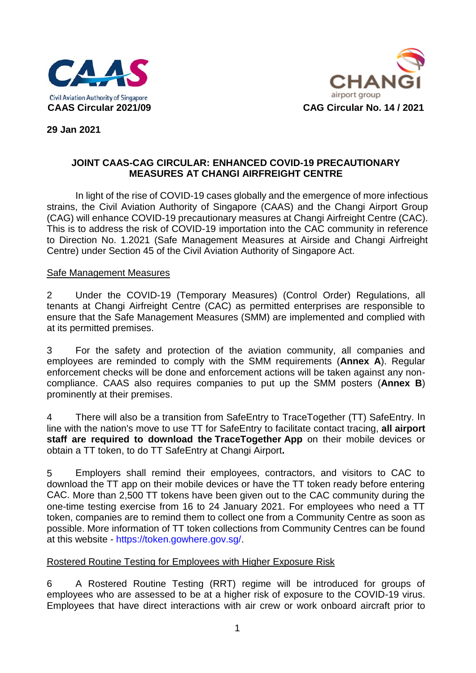



**29 Jan 2021**

## **JOINT CAAS-CAG CIRCULAR: ENHANCED COVID-19 PRECAUTIONARY MEASURES AT CHANGI AIRFREIGHT CENTRE**

In light of the rise of COVID-19 cases globally and the emergence of more infectious strains, the Civil Aviation Authority of Singapore (CAAS) and the Changi Airport Group (CAG) will enhance COVID-19 precautionary measures at Changi Airfreight Centre (CAC). This is to address the risk of COVID-19 importation into the CAC community in reference to Direction No. 1.2021 (Safe Management Measures at Airside and Changi Airfreight Centre) under Section 45 of the Civil Aviation Authority of Singapore Act.

#### Safe Management Measures

2 Under the COVID-19 (Temporary Measures) (Control Order) Regulations, all tenants at Changi Airfreight Centre (CAC) as permitted enterprises are responsible to ensure that the Safe Management Measures (SMM) are implemented and complied with at its permitted premises.

3 For the safety and protection of the aviation community, all companies and employees are reminded to comply with the SMM requirements (**Annex A**). Regular enforcement checks will be done and enforcement actions will be taken against any noncompliance. CAAS also requires companies to put up the SMM posters (**Annex B**) prominently at their premises.

4 There will also be a transition from SafeEntry to TraceTogether (TT) SafeEntry. In line with the nation's move to use TT for SafeEntry to facilitate contact tracing, **all airport staff are required to download the TraceTogether App** on their mobile devices or obtain a TT token, to do TT SafeEntry at Changi Airport**.**

5 Employers shall remind their employees, contractors, and visitors to CAC to download the TT app on their mobile devices or have the TT token ready before entering CAC. More than 2,500 TT tokens have been given out to the CAC community during the one-time testing exercise from 16 to 24 January 2021. For employees who need a TT token, companies are to remind them to collect one from a Community Centre as soon as possible. More information of TT token collections from Community Centres can be found at this website - https://token.gowhere.gov.sg/.

#### Rostered Routine Testing for Employees with Higher Exposure Risk

6 A Rostered Routine Testing (RRT) regime will be introduced for groups of employees who are assessed to be at a higher risk of exposure to the COVID-19 virus. Employees that have direct interactions with air crew or work onboard aircraft prior to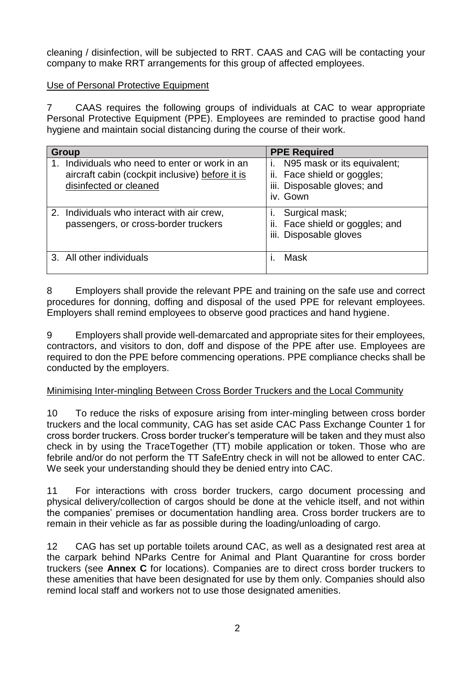cleaning / disinfection, will be subjected to RRT. CAAS and CAG will be contacting your company to make RRT arrangements for this group of affected employees.

## Use of Personal Protective Equipment

7 CAAS requires the following groups of individuals at CAC to wear appropriate Personal Protective Equipment (PPE). Employees are reminded to practise good hand hygiene and maintain social distancing during the course of their work.

| Group                                                                                                                    | <b>PPE Required</b>                                                                                         |
|--------------------------------------------------------------------------------------------------------------------------|-------------------------------------------------------------------------------------------------------------|
| Individuals who need to enter or work in an<br>aircraft cabin (cockpit inclusive) before it is<br>disinfected or cleaned | N95 mask or its equivalent;<br>T.<br>ii. Face shield or goggles;<br>iii. Disposable gloves; and<br>iv. Gown |
| 2. Individuals who interact with air crew,<br>passengers, or cross-border truckers                                       | Surgical mask;<br>Face shield or goggles; and<br>ii.<br>iii. Disposable gloves                              |
| 3. All other individuals                                                                                                 | Mask                                                                                                        |

8 Employers shall provide the relevant PPE and training on the safe use and correct procedures for donning, doffing and disposal of the used PPE for relevant employees. Employers shall remind employees to observe good practices and hand hygiene.

9 Employers shall provide well-demarcated and appropriate sites for their employees, contractors, and visitors to don, doff and dispose of the PPE after use. Employees are required to don the PPE before commencing operations. PPE compliance checks shall be conducted by the employers.

# Minimising Inter-mingling Between Cross Border Truckers and the Local Community

10 To reduce the risks of exposure arising from inter-mingling between cross border truckers and the local community, CAG has set aside CAC Pass Exchange Counter 1 for cross border truckers. Cross border trucker's temperature will be taken and they must also check in by using the TraceTogether (TT) mobile application or token. Those who are febrile and/or do not perform the TT SafeEntry check in will not be allowed to enter CAC. We seek your understanding should they be denied entry into CAC.

11 For interactions with cross border truckers, cargo document processing and physical delivery/collection of cargos should be done at the vehicle itself, and not within the companies' premises or documentation handling area. Cross border truckers are to remain in their vehicle as far as possible during the loading/unloading of cargo.

12 CAG has set up portable toilets around CAC, as well as a designated rest area at the carpark behind NParks Centre for Animal and Plant Quarantine for cross border truckers (see **Annex C** for locations). Companies are to direct cross border truckers to these amenities that have been designated for use by them only. Companies should also remind local staff and workers not to use those designated amenities.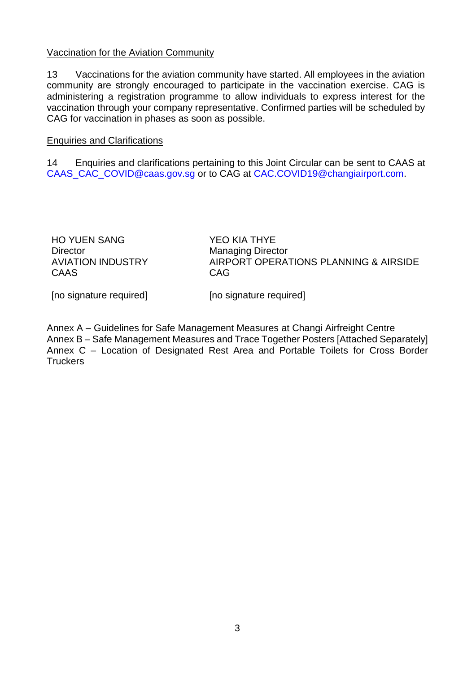#### Vaccination for the Aviation Community

13 Vaccinations for the aviation community have started. All employees in the aviation community are strongly encouraged to participate in the vaccination exercise. CAG is administering a registration programme to allow individuals to express interest for the vaccination through your company representative. Confirmed parties will be scheduled by CAG for vaccination in phases as soon as possible.

#### Enquiries and Clarifications

14 Enquiries and clarifications pertaining to this Joint Circular can be sent to CAAS at [CAAS\\_CAC\\_COVID@caas.gov.sg](mailto:CAAS_CAC_COVID@caas.gov.sg) or to CAG at CAC.COVID19@changiairport.com.

HO YUEN SANG **Director** AVIATION INDUSTRY CAAS

YEO KIA THYE Managing Director AIRPORT OPERATIONS PLANNING & AIRSIDE CAG

[no signature required]

[no signature required]

Annex A – Guidelines for Safe Management Measures at Changi Airfreight Centre Annex B – Safe Management Measures and Trace Together Posters [Attached Separately] Annex C – Location of Designated Rest Area and Portable Toilets for Cross Border **Truckers**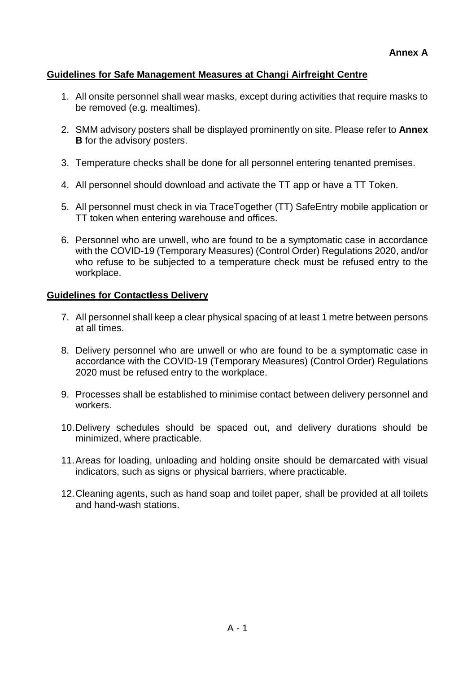# **Guidelines for Safe Management Measures at Changi Airfreight Centre**

- 1. All onsite personnel shall wear masks, except during activities that require masks to be removed (e.g. mealtimes).
- 2. SMM advisory posters shall be displayed prominently on site. Please refer to **Annex B** for the advisory posters.
- 3. Temperature checks shall be done for all personnel entering tenanted premises.
- 4. All personnel should download and activate the TT app or have a TT Token.
- 5. All personnel must check in via TraceTogether (TT) SafeEntry mobile application or TT token when entering warehouse and offices.
- 6. Personnel who are unwell, who are found to be a symptomatic case in accordance with the COVID-19 (Temporary Measures) (Control Order) Regulations 2020, and/or who refuse to be subjected to a temperature check must be refused entry to the workplace.

# **Guidelines for Contactless Delivery**

- 7. All personnel shall keep a clear physical spacing of at least 1 metre between persons at all times.
- 8. Delivery personnel who are unwell or who are found to be a symptomatic case in accordance with the COVID-19 (Temporary Measures) (Control Order) Regulations 2020 must be refused entry to the workplace.
- 9. Processes shall be established to minimise contact between delivery personnel and workers.
- 10.Delivery schedules should be spaced out, and delivery durations should be minimized, where practicable.
- 11.Areas for loading, unloading and holding onsite should be demarcated with visual indicators, such as signs or physical barriers, where practicable.
- 12.Cleaning agents, such as hand soap and toilet paper, shall be provided at all toilets and hand-wash stations.